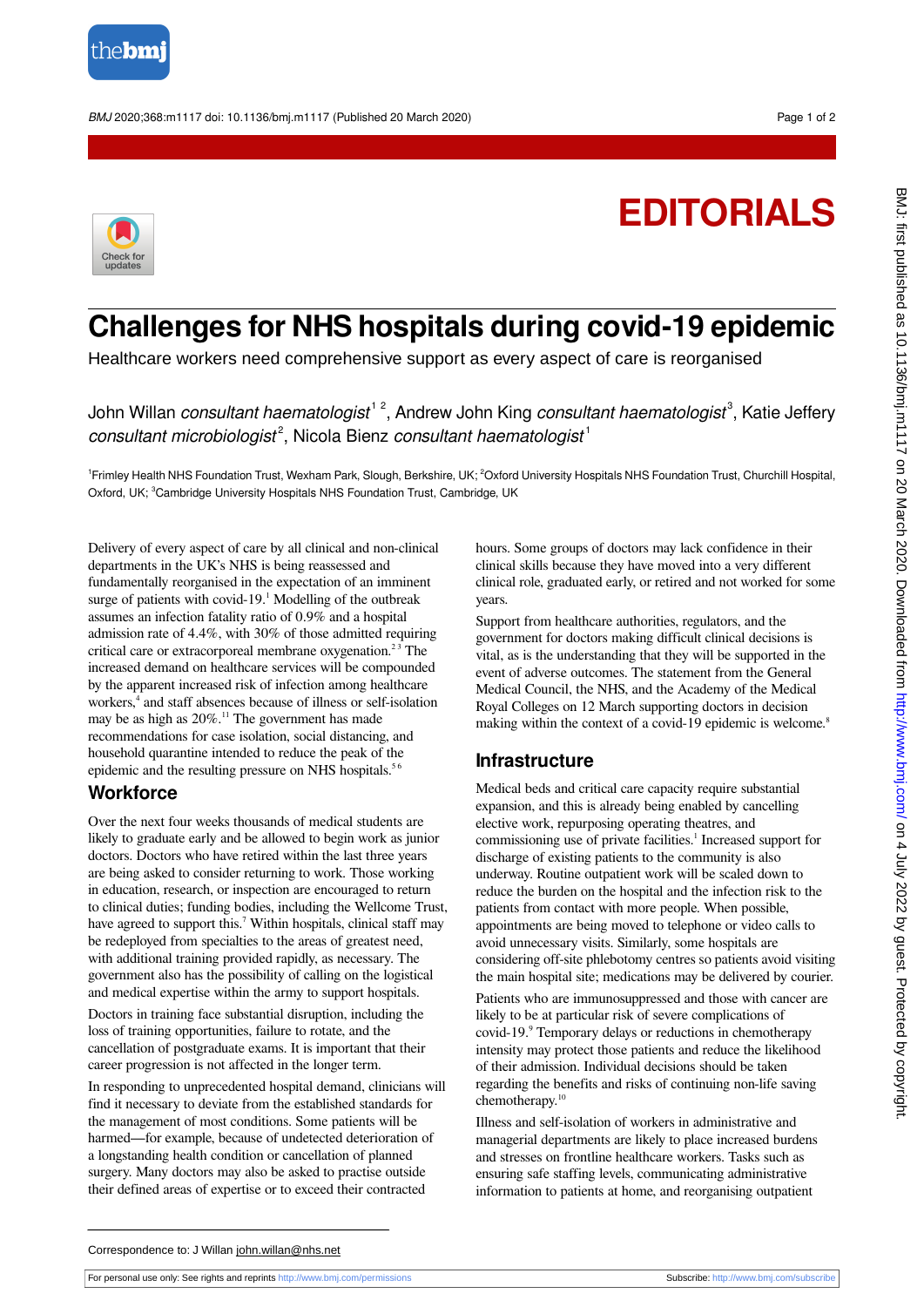

BMJ 2020;368:m1117 doi: 10.1136/bmj.m1117 (Published 20 March 2020) Page 1 of 2



## **EDITORIALS**

## **Challenges for NHS hospitals during covid-19 epidemic**

Healthcare workers need comprehensive support as every aspect of care is reorganised

John Willan consultant haematologist<sup>12</sup>, Andrew John King consultant haematologist<sup>3</sup>, Katie Jeffery  $constant$  microbiologist<sup>2</sup>, Nicola Bienz consultant haematologist<sup>1</sup>

<sup>1</sup>Frimley Health NHS Foundation Trust, Wexham Park, Slough, Berkshire, UK; <sup>2</sup>Oxford University Hospitals NHS Foundation Trust, Churchill Hospital, Oxford, UK; <sup>3</sup>Cambridge University Hospitals NHS Foundation Trust, Cambridge, UK

Delivery of every aspect of care by all clinical and non-clinical departments in the UK's NHS is being reassessed and fundamentally reorganised in the expectation of an imminent surge of patients with covid-19.<sup>1</sup> Modelling of the outbreak assumes an infection fatality ratio of 0.9% and a hospital admission rate of 4.4%, with 30% of those admitted requiring critical care or extracorporeal membrane oxygenation.<sup>23</sup> The increased demand on healthcare services will be compounded by the apparent increased risk of infection among healthcare workers,<sup>4</sup> and staff absences because of illness or self-isolation may be as high as  $20\%$ .<sup>11</sup> The government has made recommendations for case isolation, social distancing, and household quarantine intended to reduce the peak of the epidemic and the resulting pressure on NHS hospitals.<sup>56</sup>

## **Workforce**

Over the next four weeks thousands of medical students are likely to graduate early and be allowed to begin work as junior doctors. Doctors who have retired within the last three years are being asked to consider returning to work. Those working in education, research, or inspection are encouraged to return to clinical duties; funding bodies, including the Wellcome Trust, have agreed to support this.<sup>7</sup> Within hospitals, clinical staff may be redeployed from specialties to the areas of greatest need, with additional training provided rapidly, as necessary. The government also has the possibility of calling on the logistical and medical expertise within the army to support hospitals.

Doctors in training face substantial disruption, including the loss of training opportunities, failure to rotate, and the cancellation of postgraduate exams. It is important that their career progression is not affected in the longer term.

In responding to unprecedented hospital demand, clinicians will find it necessary to deviate from the established standards for the management of most conditions. Some patients will be harmed—for example, because of undetected deterioration of a longstanding health condition or cancellation of planned surgery. Many doctors may also be asked to practise outside their defined areas of expertise or to exceed their contracted

hours. Some groups of doctors may lack confidence in their clinical skills because they have moved into a very different clinical role, graduated early, or retired and not worked for some years.

Support from healthcare authorities, regulators, and the government for doctors making difficult clinical decisions is vital, as is the understanding that they will be supported in the event of adverse outcomes. The statement from the General Medical Council, the NHS, and the Academy of the Medical Royal Colleges on 12 March supporting doctors in decision making within the context of a covid-19 epidemic is welcome.<sup>8</sup>

## **Infrastructure**

Medical beds and critical care capacity require substantial expansion, and this is already being enabled by cancelling elective work, repurposing operating theatres, and commissioning use of private facilities.<sup>1</sup> Increased support for discharge of existing patients to the community is also underway. Routine outpatient work will be scaled down to reduce the burden on the hospital and the infection risk to the patients from contact with more people. When possible, appointments are being moved to telephone or video calls to avoid unnecessary visits. Similarly, some hospitals are considering off-site phlebotomy centres so patients avoid visiting the main hospital site; medications may be delivered by courier.

Patients who are immunosuppressed and those with cancer are likely to be at particular risk of severe complications of covid-19.9 Temporary delays or reductions in chemotherapy intensity may protect those patients and reduce the likelihood of their admission. Individual decisions should be taken regarding the benefits and risks of continuing non-life saving chemotherapy.<sup>10</sup>

Illness and self-isolation of workers in administrative and managerial departments are likely to place increased burdens and stresses on frontline healthcare workers. Tasks such as ensuring safe staffing levels, communicating administrative information to patients at home, and reorganising outpatient